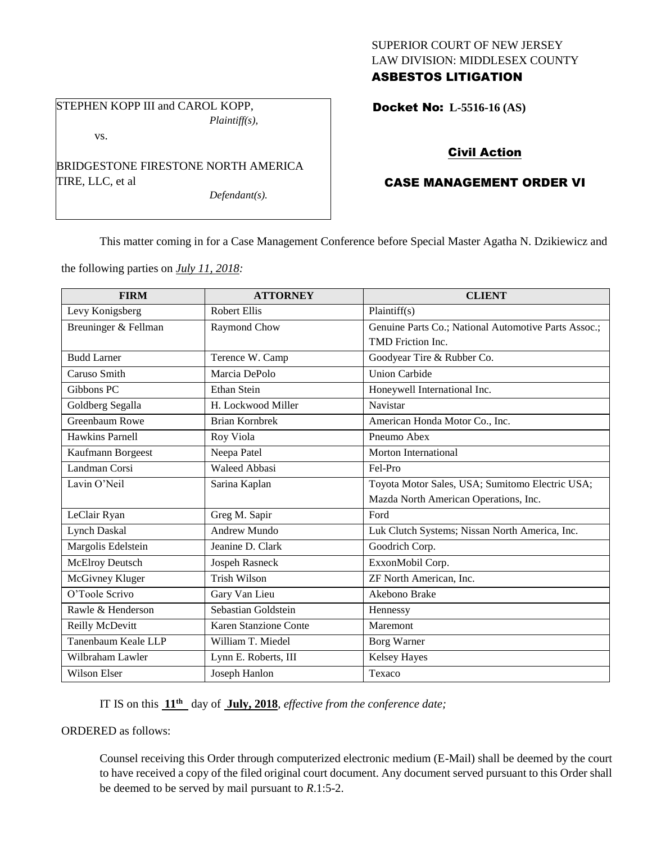### SUPERIOR COURT OF NEW JERSEY LAW DIVISION: MIDDLESEX COUNTY ASBESTOS LITIGATION

STEPHEN KOPP III and CAROL KOPP, *Plaintiff(s),*

vs.

BRIDGESTONE FIRESTONE NORTH AMERICA TIRE, LLC, et al

*Defendant(s).*

Docket No: **L-5516-16 (AS)** 

# Civil Action

## CASE MANAGEMENT ORDER VI

This matter coming in for a Case Management Conference before Special Master Agatha N. Dzikiewicz and

the following parties on *July 11, 2018:*

| <b>FIRM</b>            | <b>ATTORNEY</b>       | <b>CLIENT</b>                                        |
|------------------------|-----------------------|------------------------------------------------------|
| Levy Konigsberg        | <b>Robert Ellis</b>   | Plaintiff(s)                                         |
| Breuninger & Fellman   | Raymond Chow          | Genuine Parts Co.; National Automotive Parts Assoc.; |
|                        |                       | TMD Friction Inc.                                    |
| <b>Budd Larner</b>     | Terence W. Camp       | Goodyear Tire & Rubber Co.                           |
| Caruso Smith           | Marcia DePolo         | <b>Union Carbide</b>                                 |
| Gibbons PC             | <b>Ethan Stein</b>    | Honeywell International Inc.                         |
| Goldberg Segalla       | H. Lockwood Miller    | Navistar                                             |
| Greenbaum Rowe         | <b>Brian Kornbrek</b> | American Honda Motor Co., Inc.                       |
| Hawkins Parnell        | Roy Viola             | Pneumo Abex                                          |
| Kaufmann Borgeest      | Neepa Patel           | Morton International                                 |
| Landman Corsi          | <b>Waleed Abbasi</b>  | Fel-Pro                                              |
| Lavin O'Neil           | Sarina Kaplan         | Toyota Motor Sales, USA; Sumitomo Electric USA;      |
|                        |                       | Mazda North American Operations, Inc.                |
| LeClair Ryan           | Greg M. Sapir         | Ford                                                 |
| <b>Lynch Daskal</b>    | <b>Andrew Mundo</b>   | Luk Clutch Systems; Nissan North America, Inc.       |
| Margolis Edelstein     | Jeanine D. Clark      | Goodrich Corp.                                       |
| <b>McElroy Deutsch</b> | Jospeh Rasneck        | ExxonMobil Corp.                                     |
| McGivney Kluger        | <b>Trish Wilson</b>   | ZF North American, Inc.                              |
| O'Toole Scrivo         | Gary Van Lieu         | Akebono Brake                                        |
| Rawle & Henderson      | Sebastian Goldstein   | Hennessy                                             |
| Reilly McDevitt        | Karen Stanzione Conte | Maremont                                             |
| Tanenbaum Keale LLP    | William T. Miedel     | <b>Borg Warner</b>                                   |
| Wilbraham Lawler       | Lynn E. Roberts, III  | Kelsey Hayes                                         |
| Wilson Elser           | Joseph Hanlon         | Texaco                                               |

IT IS on this **11 th** day of **July, 2018**, *effective from the conference date;*

ORDERED as follows:

Counsel receiving this Order through computerized electronic medium (E-Mail) shall be deemed by the court to have received a copy of the filed original court document. Any document served pursuant to this Order shall be deemed to be served by mail pursuant to *R*.1:5-2.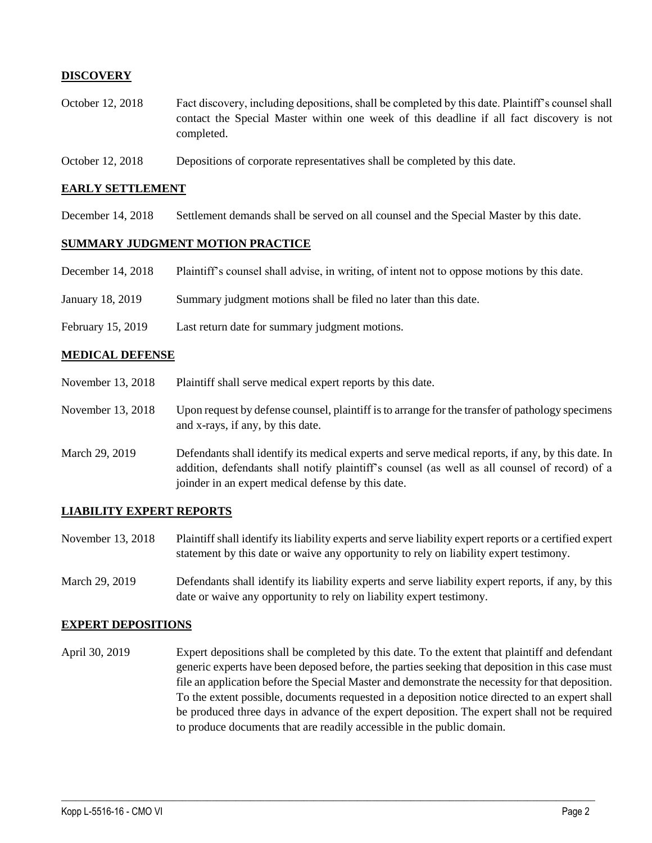### **DISCOVERY**

- October 12, 2018 Fact discovery, including depositions, shall be completed by this date. Plaintiff's counsel shall contact the Special Master within one week of this deadline if all fact discovery is not completed.
- October 12, 2018 Depositions of corporate representatives shall be completed by this date.

#### **EARLY SETTLEMENT**

December 14, 2018 Settlement demands shall be served on all counsel and the Special Master by this date.

#### **SUMMARY JUDGMENT MOTION PRACTICE**

- December 14, 2018 Plaintiff's counsel shall advise, in writing, of intent not to oppose motions by this date.
- January 18, 2019 Summary judgment motions shall be filed no later than this date.
- February 15, 2019 Last return date for summary judgment motions.

#### **MEDICAL DEFENSE**

- November 13, 2018 Plaintiff shall serve medical expert reports by this date.
- November 13, 2018 Upon request by defense counsel, plaintiff is to arrange for the transfer of pathology specimens and x-rays, if any, by this date.
- March 29, 2019 Defendants shall identify its medical experts and serve medical reports, if any, by this date. In addition, defendants shall notify plaintiff's counsel (as well as all counsel of record) of a joinder in an expert medical defense by this date.

#### **LIABILITY EXPERT REPORTS**

- November 13, 2018 Plaintiff shall identify its liability experts and serve liability expert reports or a certified expert statement by this date or waive any opportunity to rely on liability expert testimony.
- March 29, 2019 Defendants shall identify its liability experts and serve liability expert reports, if any, by this date or waive any opportunity to rely on liability expert testimony.

#### **EXPERT DEPOSITIONS**

April 30, 2019 Expert depositions shall be completed by this date. To the extent that plaintiff and defendant generic experts have been deposed before, the parties seeking that deposition in this case must file an application before the Special Master and demonstrate the necessity for that deposition. To the extent possible, documents requested in a deposition notice directed to an expert shall be produced three days in advance of the expert deposition. The expert shall not be required to produce documents that are readily accessible in the public domain.

 $\_$  ,  $\_$  ,  $\_$  ,  $\_$  ,  $\_$  ,  $\_$  ,  $\_$  ,  $\_$  ,  $\_$  ,  $\_$  ,  $\_$  ,  $\_$  ,  $\_$  ,  $\_$  ,  $\_$  ,  $\_$  ,  $\_$  ,  $\_$  ,  $\_$  ,  $\_$  ,  $\_$  ,  $\_$  ,  $\_$  ,  $\_$  ,  $\_$  ,  $\_$  ,  $\_$  ,  $\_$  ,  $\_$  ,  $\_$  ,  $\_$  ,  $\_$  ,  $\_$  ,  $\_$  ,  $\_$  ,  $\_$  ,  $\_$  ,